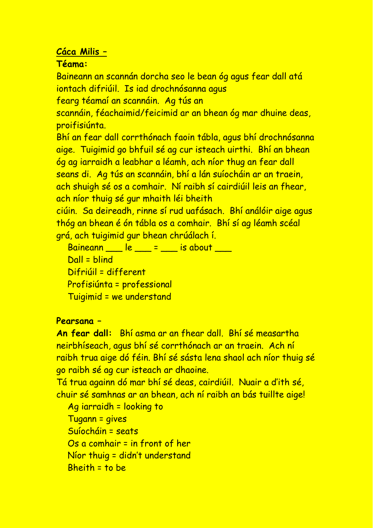## **Cáca Milis –**

## **Téama:**

Baineann an scannán dorcha seo le bean óg agus fear dall atá iontach difriúil. Is iad drochnósanna agus

fearg téamaí an scannáin. Ag tús an

scannáin, féachaimid/feicimid ar an bhean óg mar dhuine deas, proifisiúnta.

Bhí an fear dall corrthónach faoin tábla, agus bhí drochnósanna aige. Tuigimid go bhfuil sé ag cur isteach uirthi. Bhí an bhean óg ag iarraidh a leabhar a léamh, ach níor thug an fear dall seans di. Ag tús an scannáin, bhí a lán suíocháin ar an traein, ach shuigh sé os a comhair. Ní raibh sí cairdiúil leis an fhear, ach níor thuig sé gur mhaith léi bheith

ciúin. Sa deireadh, rinne sí rud uafásach. Bhí análóir aige agus thóg an bhean é ón tábla os a comhair. Bhí sí ag léamh scéal grá, ach tuigimid gur bhean chrúálach í.

 $Baineann$   $le$   $e$   $e$   $=$   $e$   $e$   $=$   $e$   $i$   $s$  about  $e$ Dall = blind Difriúil = different Profisiúnta = professional Tuigimid = we understand

## **Pearsana –**

**An fear dall:** Bhí asma ar an fhear dall. Bhí sé measartha neirbhíseach, agus bhí sé corrthónach ar an traein. Ach ní raibh trua aige dó féin. Bhí sé sásta lena shaol ach níor thuig sé go raibh sé ag cur isteach ar dhaoine.

Tá trua againn dó mar bhí sé deas, cairdiúil. Nuair a d'ith sé, chuir sé samhnas ar an bhean, ach ní raibh an bás tuillte aige!

Ag iarraidh = looking to Tugann = gives Suíocháin = seats Os a comhair = in front of her Níor thuig = didn't understand Bheith = to be